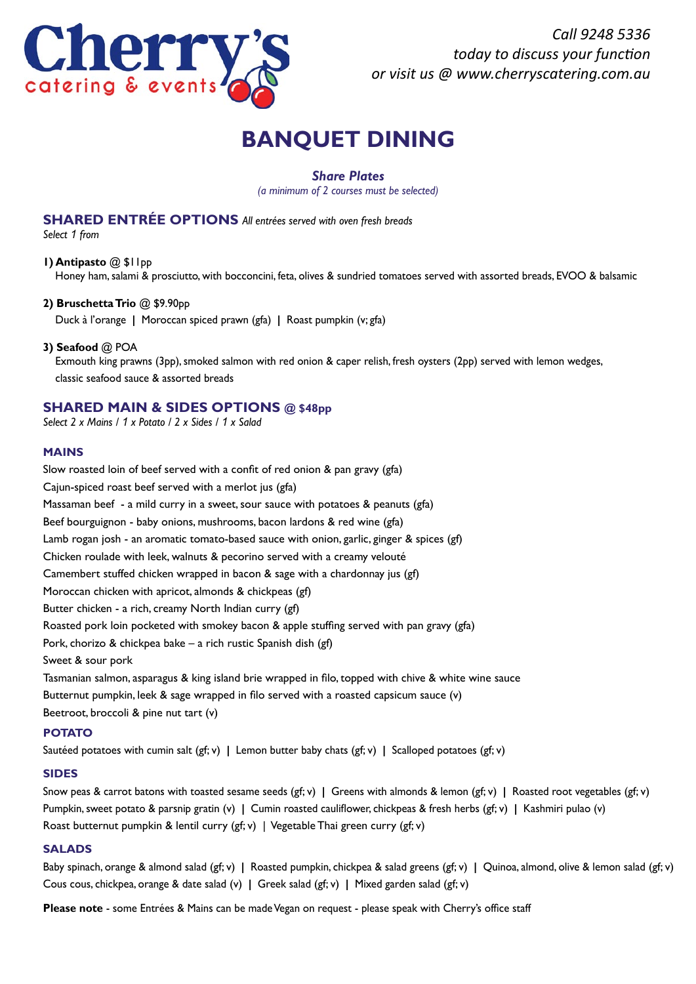

*Call 9248 5336 today to discuss your function or visit us @ www.cherryscatering.com.au*

# **BANQUET DINING**

# *Share Plates*

*(a minimum of 2 courses must be selected)*

# **SHARED ENTRÉE OPTIONS** *All entrées served with oven fresh breads*

*Select 1 from*

**1) Antipasto** @ \$11pp

Honey ham, salami & prosciutto, with bocconcini, feta, olives & sundried tomatoes served with assorted breads, EVOO & balsamic

## **2) Bruschetta Trio** @ \$9.90pp

Duck à l'orange **|** Moroccan spiced prawn (gfa) **|** Roast pumpkin (v; gfa)

## **3) Seafood** @ POA

 Exmouth king prawns (3pp), smoked salmon with red onion & caper relish, fresh oysters (2pp) served with lemon wedges, classic seafood sauce & assorted breads

## **SHARED MAIN & SIDES OPTIONS @ \$48pp**

*Select 2 x Mains / 1 x Potato / 2 x Sides / 1 x Salad*

## **MAINS**

Slow roasted loin of beef served with a confit of red onion & pan gravy (gfa) Cajun-spiced roast beef served with a merlot jus (gfa) Massaman beef - a mild curry in a sweet, sour sauce with potatoes & peanuts (gfa) Beef bourguignon - baby onions, mushrooms, bacon lardons & red wine (gfa) Lamb rogan josh - an aromatic tomato-based sauce with onion, garlic, ginger & spices (gf) Chicken roulade with leek, walnuts & pecorino served with a creamy velouté Camembert stuffed chicken wrapped in bacon & sage with a chardonnay jus (gf) Moroccan chicken with apricot, almonds & chickpeas (gf) Butter chicken - a rich, creamy North Indian curry (gf) Roasted pork loin pocketed with smokey bacon & apple stuffing served with pan gravy (gfa) Pork, chorizo & chickpea bake – a rich rustic Spanish dish (gf) Sweet & sour pork Tasmanian salmon, asparagus & king island brie wrapped in filo, topped with chive & white wine sauce

Butternut pumpkin, leek & sage wrapped in filo served with a roasted capsicum sauce (v)

Beetroot, broccoli & pine nut tart (v)

## **POTATO**

Sautéed potatoes with cumin salt (gf; v) **|** Lemon butter baby chats (gf; v) **|** Scalloped potatoes (gf; v)

## **SIDES**

Snow peas & carrot batons with toasted sesame seeds (gf; v) **|** Greens with almonds & lemon (gf; v) **|** Roasted root vegetables (gf; v) Pumpkin, sweet potato & parsnip gratin (v) **|** Cumin roasted cauliflower, chickpeas & fresh herbs (gf; v) **|** Kashmiri pulao (v) Roast butternut pumpkin & lentil curry (gf; v) | Vegetable Thai green curry (gf; v)

## **SALADS**

Baby spinach, orange & almond salad (gf; v) **|** Roasted pumpkin, chickpea & salad greens (gf; v) **|** Quinoa, almond, olive & lemon salad (gf; v) Cous cous, chickpea, orange & date salad (v) **|** Greek salad (gf; v) **|** Mixed garden salad (gf; v)

**Please note** - some Entrées & Mains can be made Vegan on request - please speak with Cherry's office staff